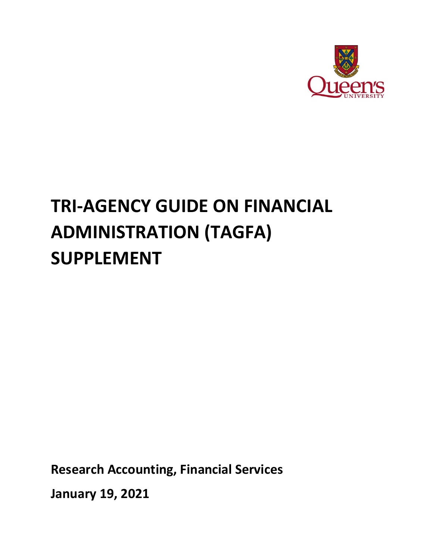

# **TRI-AGENCY GUIDE ON FINANCIAL ADMINISTRATION (TAGFA) SUPPLEMENT**

**Research Accounting, Financial Services**

**January 19, 2021**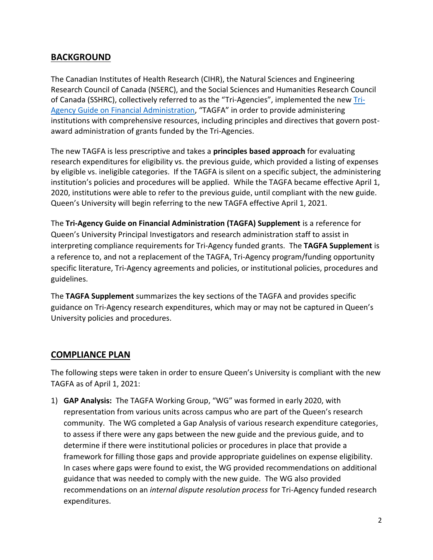## **BACKGROUND**

The Canadian Institutes of Health Research (CIHR), the Natural Sciences and Engineering Research Council of Canada (NSERC), and the Social Sciences and Humanities Research Council of Canada (SSHRC), collectively referred to as the "Tri-Agencies", implemented the new [Tri-](https://www.nserc-crsng.gc.ca/InterAgency-Interorganismes/TAFA-AFTO/guide-guide_eng.asp)[Agency Guide on Financial Administration,](https://www.nserc-crsng.gc.ca/InterAgency-Interorganismes/TAFA-AFTO/guide-guide_eng.asp) "TAGFA" in order to provide administering institutions with comprehensive resources, including principles and directives that govern postaward administration of grants funded by the Tri-Agencies.

The new TAGFA is less prescriptive and takes a **principles based approach** for evaluating research expenditures for eligibility vs. the previous guide, which provided a listing of expenses by eligible vs. ineligible categories.If the TAGFA is silent on a specific subject, the administering institution's policies and procedures will be applied. While the TAGFA became effective April 1, 2020, institutions were able to refer to the previous guide, until compliant with the new guide. Queen's University will begin referring to the new TAGFA effective April 1, 2021.

The **Tri-Agency Guide on Financial Administration (TAGFA) Supplement** is a reference for Queen's University Principal Investigators and research administration staff to assist in interpreting compliance requirements for Tri-Agency funded grants. The **TAGFA Supplement** is a reference to, and not a replacement of the TAGFA, Tri-Agency program/funding opportunity specific literature, Tri-Agency agreements and policies, or institutional policies, procedures and guidelines.

The **TAGFA Supplement** summarizes the key sections of the TAGFA and provides specific guidance on Tri-Agency research expenditures, which may or may not be captured in Queen's University policies and procedures.

## **COMPLIANCE PLAN**

The following steps were taken in order to ensure Queen's University is compliant with the new TAGFA as of April 1, 2021:

1) **GAP Analysis:** The TAGFA Working Group, "WG" was formed in early 2020, with representation from various units across campus who are part of the Queen's research community. The WG completed a Gap Analysis of various research expenditure categories, to assess if there were any gaps between the new guide and the previous guide, and to determine if there were institutional policies or procedures in place that provide a framework for filling those gaps and provide appropriate guidelines on expense eligibility. In cases where gaps were found to exist, the WG provided recommendations on additional guidance that was needed to comply with the new guide. The WG also provided recommendations on an *internal dispute resolution process* for Tri-Agency funded research expenditures.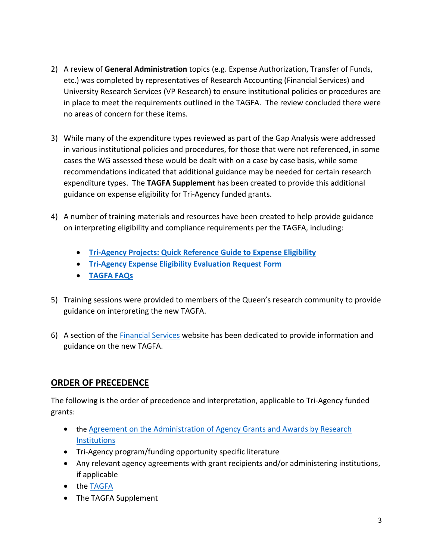- 2) A review of **General Administration** topics (e.g. Expense Authorization, Transfer of Funds, etc.) was completed by representatives of Research Accounting (Financial Services) and University Research Services (VP Research) to ensure institutional policies or procedures are in place to meet the requirements outlined in the TAGFA. The review concluded there were no areas of concern for these items.
- 3) While many of the expenditure types reviewed as part of the Gap Analysis were addressed in various institutional policies and procedures, for those that were not referenced, in some cases the WG assessed these would be dealt with on a case by case basis, while some recommendations indicated that additional guidance may be needed for certain research expenditure types. The **TAGFA Supplement** has been created to provide this additional guidance on expense eligibility for Tri-Agency funded grants.
- 4) A number of training materials and resources have been created to help provide guidance on interpreting eligibility and compliance requirements per the TAGFA, including:
	- **[Tri-Agency Projects: Quick Reference Guide to Expense Eligibility](#page-6-0)**
	- **[Tri-Agency Expense Eligibility Evaluation Request Form](https://queensuca-my.sharepoint.com/:w:/g/personal/montesan_queensu_ca/EZpryUBeVXVEl36SkzStupABSUuRk9WHD-jJIT0ZkNPeBg?e=ZAMCHx)**
	- **[TAGFA FAQs](https://queensuca-my.sharepoint.com/:b:/g/personal/montesan_queensu_ca/EdEQ5ViC1KJKt3A0VMDLxWsBAlysOJrobN1PQpVwKY2g7w?e=aa2o0H)**
- 5) Training sessions were provided to members of the Queen's research community to provide guidance on interpreting the new TAGFA.
- 6) A section of the [Financial Services](https://www.queensu.ca/financialservices/researchers) website has been dedicated to provide information and guidance on the new TAGFA.

#### **ORDER OF PRECEDENCE**

The following is the order of precedence and interpretation, applicable to Tri-Agency funded grants:

- the [Agreement on the Administration of Agency Grants and Awards by Research](http://www.science.gc.ca/eic/site/063.nsf/eng/h_56B87BE5.html?OpenDocument)  **[Institutions](http://www.science.gc.ca/eic/site/063.nsf/eng/h_56B87BE5.html?OpenDocument)**
- Tri-Agency program/funding opportunity specific literature
- Any relevant agency agreements with grant recipients and/or administering institutions, if applicable
- the [TAGFA](https://www.nserc-crsng.gc.ca/InterAgency-Interorganismes/TAFA-AFTO/guide-guide_eng.asp#3)
- The TAGFA Supplement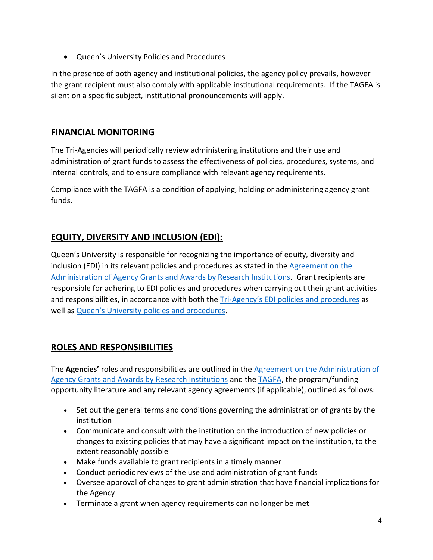Queen's University Policies and Procedures

In the presence of both agency and institutional policies, the agency policy prevails, however the grant recipient must also comply with applicable institutional requirements. If the TAGFA is silent on a specific subject, institutional pronouncements will apply.

# **FINANCIAL MONITORING**

The Tri-Agencies will periodically review administering institutions and their use and administration of grant funds to assess the effectiveness of policies, procedures, systems, and internal controls, and to ensure compliance with relevant agency requirements.

Compliance with the TAGFA is a condition of applying, holding or administering agency grant funds.

# **EQUITY, DIVERSITY AND INCLUSION (EDI):**

Queen's University is responsible for recognizing the importance of equity, diversity and inclusion (EDI) in its relevant policies and procedures as stated in the [Agreement on the](http://www.science.gc.ca/eic/site/063.nsf/eng/h_56B87BE5.html?OpenDocument)  [Administration of Agency Grants and Awards by Research Institutions.](http://www.science.gc.ca/eic/site/063.nsf/eng/h_56B87BE5.html?OpenDocument) Grant recipients are responsible for adhering to EDI policies and procedures when carrying out their grant activities and responsibilities, in accordance with both the Tri-[Agency's EDI policies and procedures](https://www.nserc-crsng.gc.ca/NSERC-CRSNG/EDI-EDI/Action-Plan_Plan-dAction_eng.asp) as well as [Queen's University policies and procedures](https://www.queensu.ca/inclusive/content/equity-diversity-and-anti-racism).

# **ROLES AND RESPONSIBILITIES**

The **Agencies'** roles and responsibilities are outlined in the [Agreement on the Administration of](http://www.science.gc.ca/default.asp?lang=En&n=56B87BE5-1)  [Agency Grants and Awards by Research Institutions](http://www.science.gc.ca/default.asp?lang=En&n=56B87BE5-1) and the [TAGFA,](https://www.nserc-crsng.gc.ca/InterAgency-Interorganismes/TAFA-AFTO/guide-guide_eng.asp#9) the program/funding opportunity literature and any relevant agency agreements (if applicable), outlined as follows:

- Set out the general terms and conditions governing the administration of grants by the institution
- Communicate and consult with the institution on the introduction of new policies or changes to existing policies that may have a significant impact on the institution, to the extent reasonably possible
- Make funds available to grant recipients in a timely manner
- Conduct periodic reviews of the use and administration of grant funds
- Oversee approval of changes to grant administration that have financial implications for the Agency
- Terminate a grant when agency requirements can no longer be met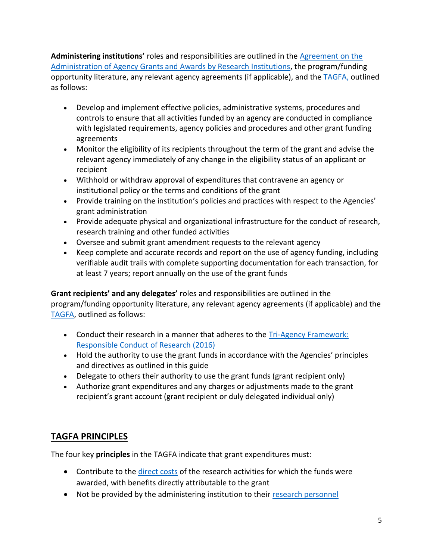**Administering institutions'** roles and responsibilities are outlined in the [Agreement on the](http://www.science.gc.ca/default.asp?lang=En&n=56B87BE5-1)  [Administration of Agency Grants and Awards by Research Institutions,](http://www.science.gc.ca/default.asp?lang=En&n=56B87BE5-1) the program/funding opportunity literature, any relevant agency agreements (if applicable), and the [TAGFA,](https://www.nserc-crsng.gc.ca/InterAgency-Interorganismes/TAFA-AFTO/guide-guide_eng.asp) outlined as follows:

- Develop and implement effective policies, administrative systems, procedures and controls to ensure that all activities funded by an agency are conducted in compliance with legislated requirements, agency policies and procedures and other grant funding agreements
- Monitor the eligibility of its recipients throughout the term of the grant and advise the relevant agency immediately of any change in the eligibility status of an applicant or recipient
- Withhold or withdraw approval of expenditures that contravene an agency or institutional policy or the terms and conditions of the grant
- Provide training on the institution's policies and practices with respect to the Agencies' grant administration
- Provide adequate physical and organizational infrastructure for the conduct of research, research training and other funded activities
- Oversee and submit grant amendment requests to the relevant agency
- Keep complete and accurate records and report on the use of agency funding, including verifiable audit trails with complete supporting documentation for each transaction, for at least 7 years; report annually on the use of the grant funds

**Grant recipients' and any delegates'** roles and responsibilities are outlined in the program/funding opportunity literature, any relevant agency agreements (if applicable) and the [TAGFA,](https://www.nserc-crsng.gc.ca/InterAgency-Interorganismes/TAFA-AFTO/guide-guide_eng.asp#9) outlined as follows:

- Conduct their research in a manner that adheres to the Tri-Agency Framework: [Responsible Conduct of Research \(2016\)](http://www.rcr.ethics.gc.ca/eng/framework-cadre.html)
- Hold the authority to use the grant funds in accordance with the Agencies' principles and directives as outlined in this guide
- Delegate to others their authority to use the grant funds (grant recipient only)
- Authorize grant expenditures and any charges or adjustments made to the grant recipient's grant account (grant recipient or duly delegated individual only)

# **TAGFA PRINCIPLES**

The four key **principles** in the TAGFA indicate that grant expenditures must:

- Contribute to the [direct costs](https://www.nserc-crsng.gc.ca/InterAgency-Interorganismes/TAFA-AFTO/guide-guide_eng.asp#a-a8) of the research activities for which the funds were awarded, with benefits directly attributable to the grant
- Not be provided by the administering institution to their [research personnel](https://www.nserc-crsng.gc.ca/InterAgency-Interorganismes/TAFA-AFTO/guide-guide_eng.asp#a-a28)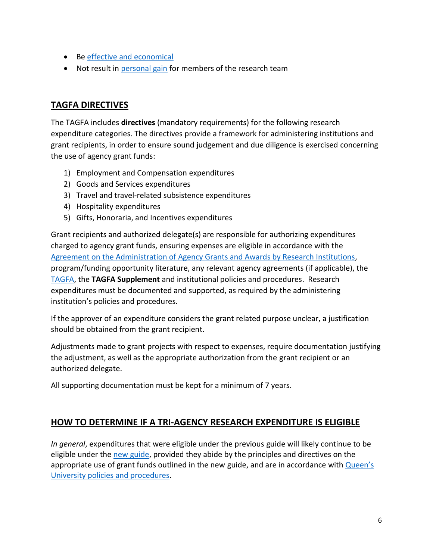- Be [effective and economical](https://www.nserc-crsng.gc.ca/InterAgency-Interorganismes/TAFA-AFTO/guide-guide_eng.asp#a-a10)
- Not result in [personal gain](https://www.nserc-crsng.gc.ca/InterAgency-Interorganismes/TAFA-AFTO/guide-guide_eng.asp#a-a25) for members of the research team

#### **TAGFA DIRECTIVES**

The TAGFA includes **directives** (mandatory requirements) for the following research expenditure categories. The directives provide a framework for administering institutions and grant recipients, in order to ensure sound judgement and due diligence is exercised concerning the use of agency grant funds:

- 1) Employment and Compensation expenditures
- 2) Goods and Services expenditures
- 3) Travel and travel-related subsistence expenditures
- 4) Hospitality expenditures
- 5) Gifts, Honoraria, and Incentives expenditures

Grant recipients and authorized delegate(s) are responsible for authorizing expenditures charged to agency grant funds, ensuring expenses are eligible in accordance with the [Agreement on the Administration of Agency Grants and Awards by Research Institutions,](http://www.science.gc.ca/eic/site/063.nsf/eng/h_56B87BE5.html?OpenDocument) program/funding opportunity literature, any relevant agency agreements (if applicable), the [TAGFA,](https://www.nserc-crsng.gc.ca/InterAgency-Interorganismes/TAFA-AFTO/guide-guide_eng.asp#3) the **TAGFA Supplement** and institutional policies and procedures. Research expenditures must be documented and supported, as required by the administering institution's policies and procedures.

If the approver of an expenditure considers the grant related purpose unclear, a justification should be obtained from the grant recipient.

Adjustments made to grant projects with respect to expenses, require documentation justifying the adjustment, as well as the appropriate authorization from the grant recipient or an authorized delegate.

All supporting documentation must be kept for a minimum of 7 years.

## **HOW TO DETERMINE IF A TRI-AGENCY RESEARCH EXPENDITURE IS ELIGIBLE**

*In general*, expenditures that were eligible under the previous guide will likely continue to be eligible under the [new guide,](https://www.nserc-crsng.gc.ca/InterAgency-Interorganismes/TAFA-AFTO/guide-guide_eng.asp) provided they abide by the principles and directives on the appropriate use of grant funds outlined in the new guide, and are in accordance with *Queen's* [University policies and procedures.](https://www.queensu.ca/secretariat/policies)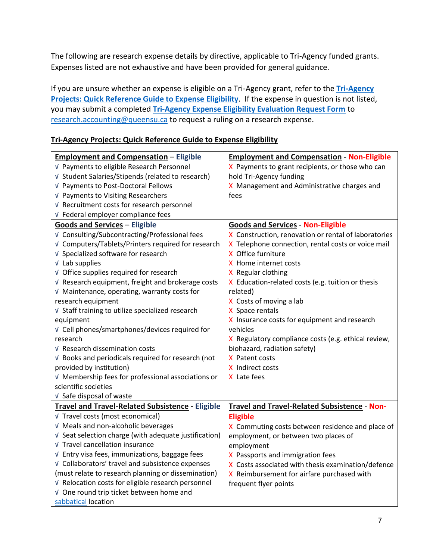The following are research expense details by directive, applicable to Tri-Agency funded grants. Expenses listed are not exhaustive and have been provided for general guidance.

If you are unsure whether an expense is eligible on a Tri-Agency grant, refer to the **[Tri-Agency](#page-6-0)  [Projects: Quick Reference Guide to Expense Eligibility](#page-6-0)**. If the expense in question is not listed, you may submit a completed **[Tri-Agency Expense Eligibility Evaluation Request Form](https://queensuca-my.sharepoint.com/:w:/g/personal/montesan_queensu_ca/EZpryUBeVXVEl36SkzStupABSUuRk9WHD-jJIT0ZkNPeBg?e=sA0K3M)** to [research.accounting@queensu.ca](mailto:research.accounting@queensu.ca) to request a ruling on a research expense.

#### <span id="page-6-0"></span>**Tri-Agency Projects: Quick Reference Guide to Expense Eligibility**

| <b>Employment and Compensation - Eligible</b>         | <b>Employment and Compensation - Non-Eligible</b>    |
|-------------------------------------------------------|------------------------------------------------------|
| √ Payments to eligible Research Personnel             | X Payments to grant recipients, or those who can     |
| √ Student Salaries/Stipends (related to research)     | hold Tri-Agency funding                              |
| √ Payments to Post-Doctoral Fellows                   | X Management and Administrative charges and          |
| √ Payments to Visiting Researchers                    | fees                                                 |
| √ Recruitment costs for research personnel            |                                                      |
| √ Federal employer compliance fees                    |                                                      |
| <b>Goods and Services - Eligible</b>                  | <b>Goods and Services - Non-Eligible</b>             |
| √ Consulting/Subcontracting/Professional fees         | X Construction, renovation or rental of laboratories |
| √ Computers/Tablets/Printers required for research    | X Telephone connection, rental costs or voice mail   |
| √ Specialized software for research                   | X Office furniture                                   |
| $V$ Lab supplies                                      | X Home internet costs                                |
| √ Office supplies required for research               | X Regular clothing                                   |
| V Research equipment, freight and brokerage costs     | X Education-related costs (e.g. tuition or thesis    |
| V Maintenance, operating, warranty costs for          | related)                                             |
| research equipment                                    | X Costs of moving a lab                              |
| √ Staff training to utilize specialized research      | X Space rentals                                      |
| equipment                                             | X Insurance costs for equipment and research         |
| √ Cell phones/smartphones/devices required for        | vehicles                                             |
| research                                              | X Regulatory compliance costs (e.g. ethical review,  |
| V Research dissemination costs                        | biohazard, radiation safety)                         |
| V Books and periodicals required for research (not    | X Patent costs                                       |
| provided by institution)                              | X Indirect costs                                     |
| V Membership fees for professional associations or    | X Late fees                                          |
| scientific societies                                  |                                                      |
| V Safe disposal of waste                              |                                                      |
| Travel and Travel-Related Subsistence - Eligible      | Travel and Travel-Related Subsistence - Non-         |
| √ Travel costs (most economical)                      | <b>Eligible</b>                                      |
| √ Meals and non-alcoholic beverages                   | X Commuting costs between residence and place of     |
| V Seat selection charge (with adequate justification) | employment, or between two places of                 |
| √ Travel cancellation insurance                       | employment                                           |
| V Entry visa fees, immunizations, baggage fees        | X Passports and immigration fees                     |
| √ Collaborators' travel and subsistence expenses      | X Costs associated with thesis examination/defence   |
| (must relate to research planning or dissemination)   | X Reimbursement for airfare purchased with           |
| √ Relocation costs for eligible research personnel    | frequent flyer points                                |
| √ One round trip ticket between home and              |                                                      |
| sabbatical location                                   |                                                      |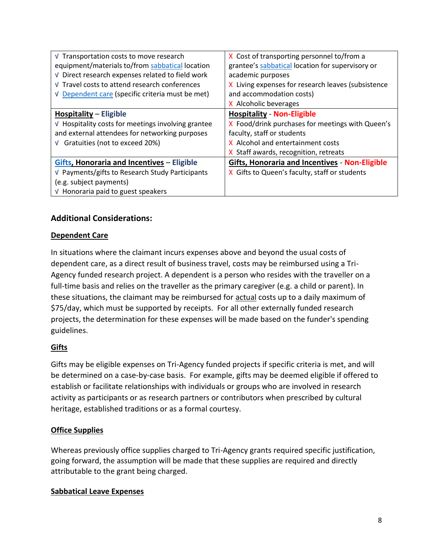| √ Transportation costs to move research                     | X Cost of transporting personnel to/from a            |
|-------------------------------------------------------------|-------------------------------------------------------|
| equipment/materials to/from sabbatical location             | grantee's sabbatical location for supervisory or      |
| √ Direct research expenses related to field work            | academic purposes                                     |
| √ Travel costs to attend research conferences               | X Living expenses for research leaves (subsistence    |
| V Dependent care (specific criteria must be met)            | and accommodation costs)                              |
|                                                             | X Alcoholic beverages                                 |
| Hospitality – Eligible                                      | <b>Hospitality - Non-Eligible</b>                     |
| $\sqrt{ }$ Hospitality costs for meetings involving grantee | X Food/drink purchases for meetings with Queen's      |
| and external attendees for networking purposes              | faculty, staff or students                            |
| $\sqrt{}$ Gratuities (not to exceed 20%)                    | X Alcohol and entertainment costs                     |
|                                                             | X Staff awards, recognition, retreats                 |
| <b>Gifts, Honoraria and Incentives - Eligible</b>           | <b>Gifts, Honoraria and Incentives - Non-Eligible</b> |
| √ Payments/gifts to Research Study Participants             | X Gifts to Queen's faculty, staff or students         |
| (e.g. subject payments)                                     |                                                       |
| √ Honoraria paid to guest speakers                          |                                                       |

#### **Additional Considerations:**

#### <span id="page-7-1"></span>**Dependent Care**

In situations where the claimant incurs expenses above and beyond the usual costs of dependent care, as a direct result of business travel, costs may be reimbursed using a Tri-Agency funded research project. A dependent is a person who resides with the traveller on a full-time basis and relies on the traveller as the primary caregiver (e.g. a child or parent). In these situations, the claimant may be reimbursed for actual costs up to a daily maximum of \$75/day, which must be supported by receipts. For all other externally funded research projects, the determination for these expenses will be made based on the funder's spending guidelines.

#### <span id="page-7-2"></span>**Gifts**

Gifts may be eligible expenses on Tri-Agency funded projects if specific criteria is met, and will be determined on a case-by-case basis. For example, gifts may be deemed eligible if offered to establish or facilitate relationships with individuals or groups who are involved in research activity as participants or as research partners or contributors when prescribed by cultural heritage, established traditions or as a formal courtesy.

#### **Office Supplies**

Whereas previously office supplies charged to Tri-Agency grants required specific justification, going forward, the assumption will be made that these supplies are required and directly attributable to the grant being charged.

#### <span id="page-7-0"></span>**Sabbatical Leave Expenses**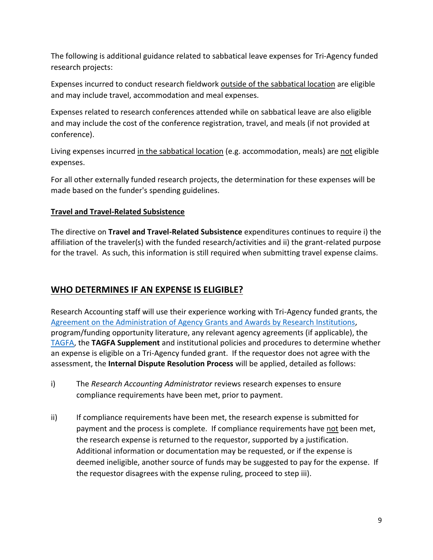The following is additional guidance related to sabbatical leave expenses for Tri-Agency funded research projects:

Expenses incurred to conduct research fieldwork outside of the sabbatical location are eligible and may include travel, accommodation and meal expenses.

Expenses related to research conferences attended while on sabbatical leave are also eligible and may include the cost of the conference registration, travel, and meals (if not provided at conference).

Living expenses incurred in the sabbatical location (e.g. accommodation, meals) are not eligible expenses.

For all other externally funded research projects, the determination for these expenses will be made based on the funder's spending guidelines.

#### **Travel and Travel-Related Subsistence**

The directive on **Travel and Travel-Related Subsistence** expenditures continues to require i) the affiliation of the traveler(s) with the funded research/activities and ii) the grant-related purpose for the travel. As such, this information is still required when submitting travel expense claims.

## **WHO DETERMINES IF AN EXPENSE IS ELIGIBLE?**

Research Accounting staff will use their experience working with Tri-Agency funded grants, the [Agreement on the Administration of Agency Grants and Awards by Research Institutions,](http://www.science.gc.ca/eic/site/063.nsf/eng/h_56B87BE5.html?OpenDocument) program/funding opportunity literature, any relevant agency agreements (if applicable), the [TAGFA,](https://www.nserc-crsng.gc.ca/InterAgency-Interorganismes/TAFA-AFTO/guide-guide_eng.asp#3) the **TAGFA Supplement** and institutional policies and procedures to determine whether an expense is eligible on a Tri-Agency funded grant. If the requestor does not agree with the assessment, the **Internal Dispute Resolution Process** will be applied, detailed as follows:

- i) The *Research Accounting Administrator* reviews research expenses to ensure compliance requirements have been met, prior to payment.
- ii) If compliance requirements have been met, the research expense is submitted for payment and the process is complete. If compliance requirements have not been met, the research expense is returned to the requestor, supported by a justification. Additional information or documentation may be requested, or if the expense is deemed ineligible, another source of funds may be suggested to pay for the expense. If the requestor disagrees with the expense ruling, proceed to step iii).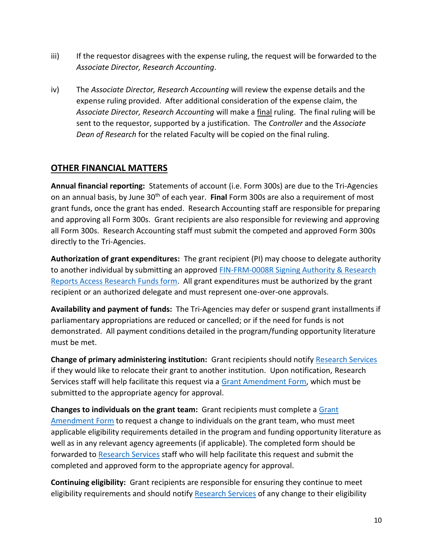- iii) If the requestor disagrees with the expense ruling, the request will be forwarded to the *Associate Director, Research Accounting*.
- iv) The *Associate Director, Research Accounting* will review the expense details and the expense ruling provided. After additional consideration of the expense claim, the *Associate Director, Research Accounting* will make a final ruling. The final ruling will be sent to the requestor, supported by a justification. The *Controller* and the *Associate Dean of Research* for the related Faculty will be copied on the final ruling.

## **OTHER FINANCIAL MATTERS**

**Annual financial reporting:** Statements of account (i.e. Form 300s) are due to the Tri-Agencies on an annual basis, by June 30th of each year. **Final** Form 300s are also a requirement of most grant funds, once the grant has ended. Research Accounting staff are responsible for preparing and approving all Form 300s. Grant recipients are also responsible for reviewing and approving all Form 300s. Research Accounting staff must submit the competed and approved Form 300s directly to the Tri-Agencies.

**Authorization of grant expenditures:** The grant recipient (PI) may choose to delegate authority to another individual by submitting an approved [FIN-FRM-0008R Signing Authority & Research](https://www.queensu.ca/financialservices/sites/webpublish.queensu.ca.finwww/files/files/forms/FIN-FRM-008R_Signing%20Authority_Access_Research.pdf)  [Reports Access Research Funds form.](https://www.queensu.ca/financialservices/sites/webpublish.queensu.ca.finwww/files/files/forms/FIN-FRM-008R_Signing%20Authority_Access_Research.pdf) All grant expenditures must be authorized by the grant recipient or an authorized delegate and must represent one-over-one approvals.

**Availability and payment of funds:** The Tri-Agencies may defer or suspend grant installments if parliamentary appropriations are reduced or cancelled; or if the need for funds is not demonstrated. All payment conditions detailed in the program/funding opportunity literature must be met.

**Change of primary administering institution:** Grant recipients should notify [Research Services](https://www.queensu.ca/vpr/contact-us) if they would like to relocate their grant to another institution. Upon notification, Research Services staff will help facilitate this request via a [Grant Amendment Form,](https://www.nserc-crsng.gc.ca/_doc/Tri-Agency/TAFAG/Grant_Amendment_Form_e.pdf) which must be submitted to the appropriate agency for approval.

**Changes to individuals on the grant team:** Grant recipients must complete a [Grant](https://www.nserc-crsng.gc.ca/_doc/Tri-Agency/TAFAG/Grant_Amendment_Form_e.pdf)  [Amendment Form](https://www.nserc-crsng.gc.ca/_doc/Tri-Agency/TAFAG/Grant_Amendment_Form_e.pdf) to request a change to individuals on the grant team, who must meet applicable eligibility requirements detailed in the program and funding opportunity literature as well as in any relevant agency agreements (if applicable). The completed form should be forwarded to [Research Services](https://www.queensu.ca/vpr/contact-us) staff who will help facilitate this request and submit the completed and approved form to the appropriate agency for approval.

**Continuing eligibility:** Grant recipients are responsible for ensuring they continue to meet eligibility requirements and should notify [Research Services](https://www.queensu.ca/vpr/contact-us) of any change to their eligibility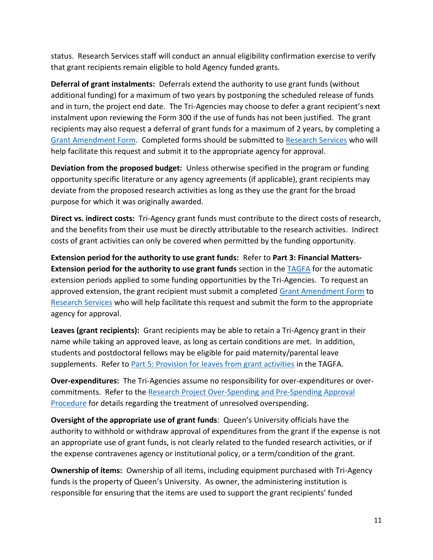status. Research Services staff will conduct an annual eligibility confirmation exercise to verify that grant recipients remain eligible to hold Agency funded grants.

**Deferral of grant instalments:** Deferrals extend the authority to use grant funds (without additional funding) for a maximum of two years by postponing the scheduled release of funds and in turn, the project end date. The Tri-Agencies may choose to defer a grant recipient's next instalment upon reviewing the Form 300 if the use of funds has not been justified. The grant recipients may also request a deferral of grant funds for a maximum of 2 years, by completing a [Grant Amendment Form.](https://www.nserc-crsng.gc.ca/_doc/Tri-Agency/TAFAG/Grant_Amendment_Form_e.pdf) Completed forms should be submitted to [Research Services](https://www.queensu.ca/vpr/contact-us) who will help facilitate this request and submit it to the appropriate agency for approval.

**Deviation from the proposed budget:** Unless otherwise specified in the program or funding opportunity specific literature or any agency agreements (if applicable), grant recipients may deviate from the proposed research activities as long as they use the grant for the broad purpose for which it was originally awarded.

**Direct vs. indirect costs:** Tri-Agency grant funds must contribute to the direct costs of research, and the benefits from their use must be directly attributable to the research activities. Indirect costs of grant activities can only be covered when permitted by the funding opportunity.

**Extension period for the authority to use grant funds:** Refer to **Part 3: Financial Matters-Extension period for the authority to use grant funds** section in the [TAGFA](https://www.nserc-crsng.gc.ca/InterAgency-Interorganismes/TAFA-AFTO/guide-guide_eng.asp) for the automatic extension periods applied to some funding opportunities by the Tri-Agencies. To request an approved extension, the grant recipient must submit a completed [Grant Amendment Form](https://www.nserc-crsng.gc.ca/_doc/Tri-Agency/TAFAG/Grant_Amendment_Form_e.pdf) to [Research Services](https://www.queensu.ca/vpr/contact-us) who will help facilitate this request and submit the form to the appropriate agency for approval.

**Leaves (grant recipients):** Grant recipients may be able to retain a Tri-Agency grant in their name while taking an approved leave, as long as certain conditions are met. In addition, students and postdoctoral fellows may be eligible for paid maternity/parental leave supplements. Refer to [Part 5: Provision for leaves from grant activities](https://www.nserc-crsng.gc.ca/InterAgency-Interorganismes/TAFA-AFTO/guide-guide_eng.asp) in the TAGFA.

**Over-expenditures:** The Tri-Agencies assume no responsibility for over-expenditures or overcommitments. Refer to the [Research Project Over-Spending and Pre-Spending Approval](https://www.queensu.ca/secretariat/policies/research-policies/research-administration-policy/research-project-over-spending-and-pre)  [Procedure](https://www.queensu.ca/secretariat/policies/research-policies/research-administration-policy/research-project-over-spending-and-pre) for details regarding the treatment of unresolved overspending.

**Oversight of the appropriate use of grant funds**: Queen's University officials have the authority to withhold or withdraw approval of expenditures from the grant if the expense is not an appropriate use of grant funds, is not clearly related to the funded research activities, or if the expense contravenes agency or institutional policy, or a term/condition of the grant.

**Ownership of items:** Ownership of all items, including equipment purchased with Tri-Agency funds is the property of Queen's University. As owner, the administering institution is responsible for ensuring that the items are used to support the grant recipients' funded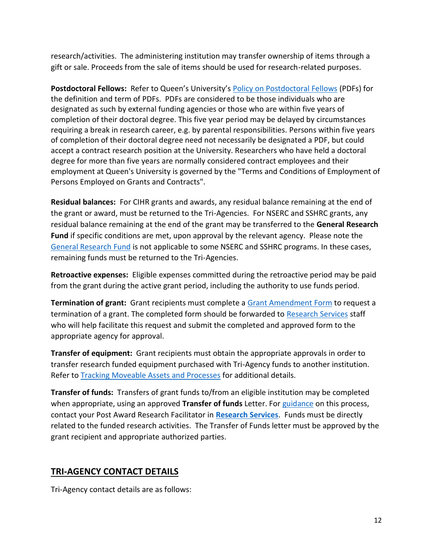research/activities. The administering institution may transfer ownership of items through a gift or sale. Proceeds from the sale of items should be used for research-related purposes.

**Postdoctoral Fellows:** Refer to Queen's University's [Policy on Postdoctoral Fellows](http://www.queensu.ca/humanresources/policies/postdoctoral-fellows) (PDFs) for the definition and term of PDFs. PDFs are considered to be those individuals who are designated as such by external funding agencies or those who are within five years of completion of their doctoral degree. This five year period may be delayed by circumstances requiring a break in research career, e.g. by parental responsibilities. Persons within five years of completion of their doctoral degree need not necessarily be designated a PDF, but could accept a contract research position at the University. Researchers who have held a doctoral degree for more than five years are normally considered contract employees and their employment at Queen's University is governed by the "Terms and Conditions of Employment of Persons Employed on Grants and Contracts".

**Residual balances:** For CIHR grants and awards, any residual balance remaining at the end of the grant or award, must be returned to the Tri-Agencies. For NSERC and SSHRC grants, any residual balance remaining at the end of the grant may be transferred to the **General Research Fund** if specific conditions are met, upon approval by the relevant agency. Please note the [General Research Fund](http://www.science.gc.ca/eic/site/063.nsf/eng/h_5429D5A5.html?OpenDocument) is not applicable to some NSERC and SSHRC programs. In these cases, remaining funds must be returned to the Tri-Agencies.

**Retroactive expenses:** Eligible expenses committed during the retroactive period may be paid from the grant during the active grant period, including the authority to use funds period.

**Termination of grant:** Grant recipients must complete a [Grant Amendment Form](https://www.nserc-crsng.gc.ca/_doc/Tri-Agency/TAFAG/Grant_Amendment_Form_e.pdf) to request a termination of a grant. The completed form should be forwarded to [Research Services](https://www.queensu.ca/vpr/contact-us) staff who will help facilitate this request and submit the completed and approved form to the appropriate agency for approval.

**Transfer of equipment:** Grant recipients must obtain the appropriate approvals in order to transfer research funded equipment purchased with Tri-Agency funds to another institution. Refer to [Tracking Moveable Assets and Processes](https://www.queensu.ca/financialservices/procedures/tracking-moveable-assets) for additional details.

**Transfer of funds:** Transfers of grant funds to/from an eligible institution may be completed when appropriate, using an approved **Transfer of funds** Letter. For [guidance](https://www.queensu.ca/vpr/resources/transfer-grant-funds) on this process, contact your Post Award Research Facilitator in **[Research Services](https://www.queensu.ca/vpr/contact-us)**. Funds must be directly related to the funded research activities. The Transfer of Funds letter must be approved by the grant recipient and appropriate authorized parties.

## **TRI-AGENCY CONTACT DETAILS**

Tri-Agency contact details are as follows: